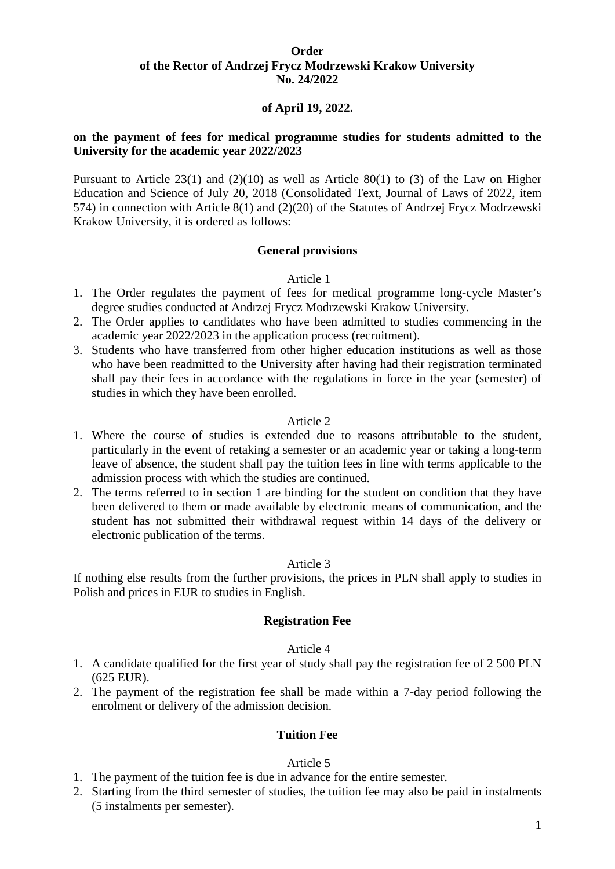#### **Order of the Rector of Andrzej Frycz Modrzewski Krakow University No. 24/2022**

### **of April 19, 2022.**

### **on the payment of fees for medical programme studies for students admitted to the University for the academic year 2022/2023**

Pursuant to Article  $23(1)$  and  $(2)(10)$  as well as Article  $80(1)$  to (3) of the Law on Higher Education and Science of July 20, 2018 (Consolidated Text, Journal of Laws of 2022, item 574) in connection with Article 8(1) and (2)(20) of the Statutes of Andrzej Frycz Modrzewski Krakow University, it is ordered as follows:

#### **General provisions**

#### Article 1

- 1. The Order regulates the payment of fees for medical programme long-cycle Master's degree studies conducted at Andrzej Frycz Modrzewski Krakow University.
- 2. The Order applies to candidates who have been admitted to studies commencing in the academic year 2022/2023 in the application process (recruitment).
- 3. Students who have transferred from other higher education institutions as well as those who have been readmitted to the University after having had their registration terminated shall pay their fees in accordance with the regulations in force in the year (semester) of studies in which they have been enrolled.

#### Article 2

- 1. Where the course of studies is extended due to reasons attributable to the student, particularly in the event of retaking a semester or an academic year or taking a long-term leave of absence, the student shall pay the tuition fees in line with terms applicable to the admission process with which the studies are continued.
- 2. The terms referred to in section 1 are binding for the student on condition that they have been delivered to them or made available by electronic means of communication, and the student has not submitted their withdrawal request within 14 days of the delivery or electronic publication of the terms.

#### Article 3

If nothing else results from the further provisions, the prices in PLN shall apply to studies in Polish and prices in EUR to studies in English.

#### **Registration Fee**

#### Article 4

- 1. A candidate qualified for the first year of study shall pay the registration fee of 2 500 PLN (625 EUR).
- 2. The payment of the registration fee shall be made within a 7-day period following the enrolment or delivery of the admission decision.

#### **Tuition Fee**

#### Article 5

- 1. The payment of the tuition fee is due in advance for the entire semester.
- 2. Starting from the third semester of studies, the tuition fee may also be paid in instalments (5 instalments per semester).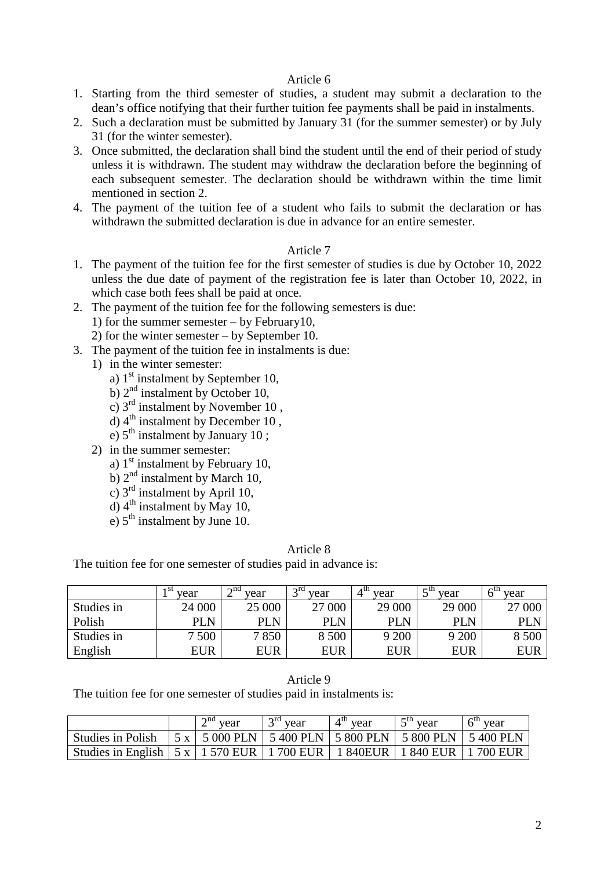#### Article 6

- 1. Starting from the third semester of studies, a student may submit a declaration to the dean's office notifying that their further tuition fee payments shall be paid in instalments.
- 2. Such a declaration must be submitted by January 31 (for the summer semester) or by July 31 (for the winter semester).
- 3. Once submitted, the declaration shall bind the student until the end of their period of study unless it is withdrawn. The student may withdraw the declaration before the beginning of each subsequent semester. The declaration should be withdrawn within the time limit mentioned in section 2.
- 4. The payment of the tuition fee of a student who fails to submit the declaration or has withdrawn the submitted declaration is due in advance for an entire semester.

#### Article 7

- 1. The payment of the tuition fee for the first semester of studies is due by October 10, 2022 unless the due date of payment of the registration fee is later than October 10, 2022, in which case both fees shall be paid at once.
- 2. The payment of the tuition fee for the following semesters is due:
	- 1) for the summer semester by February10,
	- 2) for the winter semester by September 10.
- 3. The payment of the tuition fee in instalments is due:
	- 1) in the winter semester:
		- a)  $1<sup>st</sup>$  instalment by September 10,
		- b)  $2<sup>nd</sup>$  instalment by October 10,
		- c)  $3<sup>rd</sup>$  instalment by November 10,
		- d)  $4<sup>th</sup>$  instalment by December 10,
		- e)  $5<sup>th</sup>$  instalment by January 10;
	- 2) in the summer semester:
		- a)  $1<sup>st</sup>$  instalment by February 10,
		- b)  $2<sup>nd</sup>$  instalment by March 10,
		- c) 3rd instalment by April 10,
		- d)  $4<sup>th</sup>$  instalment by May 10,
		- e)  $5<sup>th</sup>$  instalment by June 10.

#### Article 8

The tuition fee for one semester of studies paid in advance is:

|            | + St<br>vear | $\lambda$ nd<br>vear | $\gamma$ rd<br>vear | $4^{\rm m}$<br>vear | $\epsilon$ th<br>vear | vear   |
|------------|--------------|----------------------|---------------------|---------------------|-----------------------|--------|
| Studies in | 24 000       | 25 000               | 27 000              | 29 000              | 29 000                | 27 000 |
| Polish     | PLN          | PLN                  | PLN                 | <b>PLN</b>          | PLN                   | PLN    |
| Studies in | 7 500        | 7850                 | 8 500               | 9 200               | 9 200                 | 8 500  |
| English    | EUR          | EUR                  | EUR                 | <b>EUR</b>          | <b>EUR</b>            | EUR    |

#### Article 9

The tuition fee for one semester of studies paid in instalments is:

|                                                                                      | $\cap$ na<br>veai | $\gamma$ ra<br>year                                             | $A^{\text{tn}}$<br>year | $-\text{ln}$<br>vear | year |
|--------------------------------------------------------------------------------------|-------------------|-----------------------------------------------------------------|-------------------------|----------------------|------|
| <b>Studies in Polish</b>                                                             |                   | 5 x   5 000 PLN   5 400 PLN   5 800 PLN   5 800 PLN   5 400 PLN |                         |                      |      |
| Studies in English   5 x   1 570 EUR   1 700 EUR   1 840 EUR   1 840 EUR   1 700 EUR |                   |                                                                 |                         |                      |      |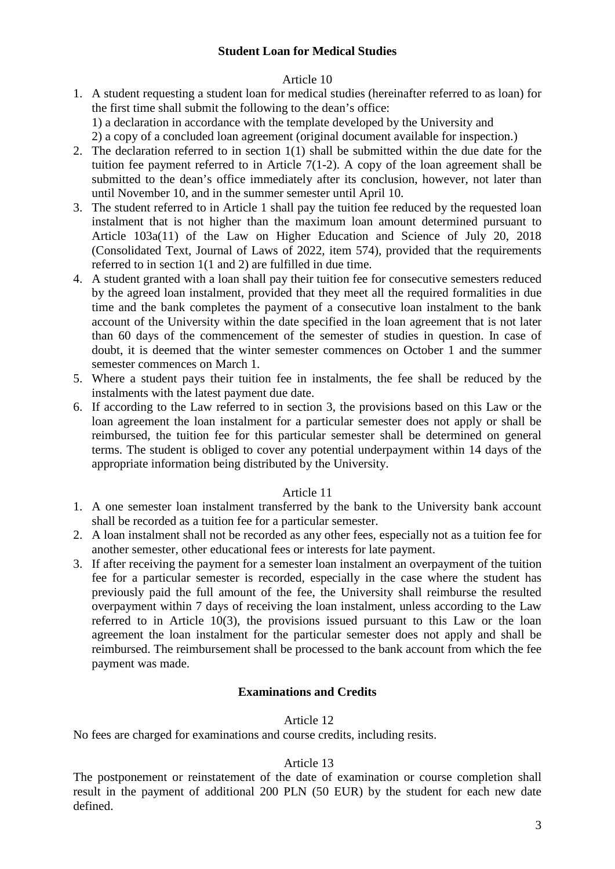# Article 10

- 1. A student requesting a student loan for medical studies (hereinafter referred to as loan) for the first time shall submit the following to the dean's office:
	- 1) a declaration in accordance with the template developed by the University and
	- 2) a copy of a concluded loan agreement (original document available for inspection.)
- 2. The declaration referred to in section 1(1) shall be submitted within the due date for the tuition fee payment referred to in Article 7(1-2). A copy of the loan agreement shall be submitted to the dean's office immediately after its conclusion, however, not later than until November 10, and in the summer semester until April 10.
- 3. The student referred to in Article 1 shall pay the tuition fee reduced by the requested loan instalment that is not higher than the maximum loan amount determined pursuant to Article 103a(11) of the Law on Higher Education and Science of July 20, 2018 (Consolidated Text, Journal of Laws of 2022, item 574), provided that the requirements referred to in section 1(1 and 2) are fulfilled in due time.
- 4. A student granted with a loan shall pay their tuition fee for consecutive semesters reduced by the agreed loan instalment, provided that they meet all the required formalities in due time and the bank completes the payment of a consecutive loan instalment to the bank account of the University within the date specified in the loan agreement that is not later than 60 days of the commencement of the semester of studies in question. In case of doubt, it is deemed that the winter semester commences on October 1 and the summer semester commences on March 1.
- 5. Where a student pays their tuition fee in instalments, the fee shall be reduced by the instalments with the latest payment due date.
- 6. If according to the Law referred to in section 3, the provisions based on this Law or the loan agreement the loan instalment for a particular semester does not apply or shall be reimbursed, the tuition fee for this particular semester shall be determined on general terms. The student is obliged to cover any potential underpayment within 14 days of the appropriate information being distributed by the University.

# Article 11

- 1. A one semester loan instalment transferred by the bank to the University bank account shall be recorded as a tuition fee for a particular semester.
- 2. A loan instalment shall not be recorded as any other fees, especially not as a tuition fee for another semester, other educational fees or interests for late payment.
- 3. If after receiving the payment for a semester loan instalment an overpayment of the tuition fee for a particular semester is recorded, especially in the case where the student has previously paid the full amount of the fee, the University shall reimburse the resulted overpayment within 7 days of receiving the loan instalment, unless according to the Law referred to in Article 10(3), the provisions issued pursuant to this Law or the loan agreement the loan instalment for the particular semester does not apply and shall be reimbursed. The reimbursement shall be processed to the bank account from which the fee payment was made.

# **Examinations and Credits**

# Article 12

No fees are charged for examinations and course credits, including resits.

# Article 13

The postponement or reinstatement of the date of examination or course completion shall result in the payment of additional 200 PLN (50 EUR) by the student for each new date defined.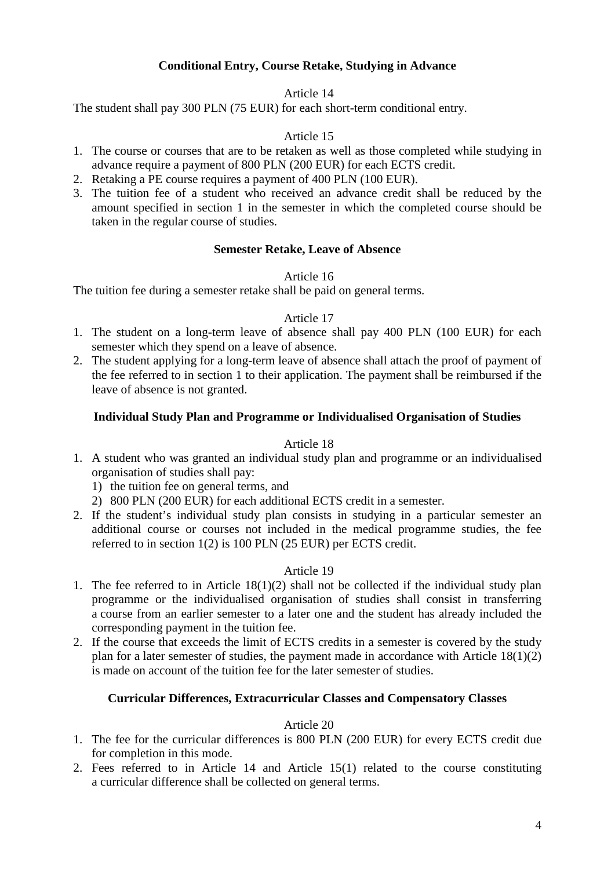# **Conditional Entry, Course Retake, Studying in Advance**

# Article 14

The student shall pay 300 PLN (75 EUR) for each short-term conditional entry.

# Article 15

- 1. The course or courses that are to be retaken as well as those completed while studying in advance require a payment of 800 PLN (200 EUR) for each ECTS credit.
- 2. Retaking a PE course requires a payment of 400 PLN (100 EUR).
- 3. The tuition fee of a student who received an advance credit shall be reduced by the amount specified in section 1 in the semester in which the completed course should be taken in the regular course of studies.

# **Semester Retake, Leave of Absence**

### Article 16

The tuition fee during a semester retake shall be paid on general terms.

# Article 17

- 1. The student on a long-term leave of absence shall pay 400 PLN (100 EUR) for each semester which they spend on a leave of absence.
- 2. The student applying for a long-term leave of absence shall attach the proof of payment of the fee referred to in section 1 to their application. The payment shall be reimbursed if the leave of absence is not granted.

# **Individual Study Plan and Programme or Individualised Organisation of Studies**

### Article 18

- 1. A student who was granted an individual study plan and programme or an individualised organisation of studies shall pay:
	- 1) the tuition fee on general terms, and
	- 2) 800 PLN (200 EUR) for each additional ECTS credit in a semester.
- 2. If the student's individual study plan consists in studying in a particular semester an additional course or courses not included in the medical programme studies, the fee referred to in section 1(2) is 100 PLN (25 EUR) per ECTS credit.

### Article 19

- 1. The fee referred to in Article 18(1)(2) shall not be collected if the individual study plan programme or the individualised organisation of studies shall consist in transferring a course from an earlier semester to a later one and the student has already included the corresponding payment in the tuition fee.
- 2. If the course that exceeds the limit of ECTS credits in a semester is covered by the study plan for a later semester of studies, the payment made in accordance with Article 18(1)(2) is made on account of the tuition fee for the later semester of studies.

### **Curricular Differences, Extracurricular Classes and Compensatory Classes**

## Article 20

- 1. The fee for the curricular differences is 800 PLN (200 EUR) for every ECTS credit due for completion in this mode.
- 2. Fees referred to in Article 14 and Article 15(1) related to the course constituting a curricular difference shall be collected on general terms.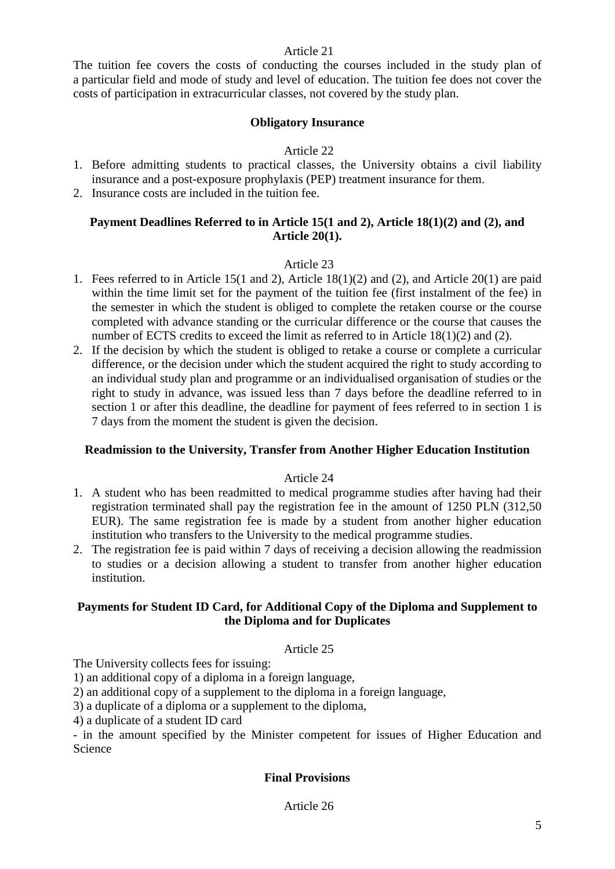### Article 21

The tuition fee covers the costs of conducting the courses included in the study plan of a particular field and mode of study and level of education. The tuition fee does not cover the costs of participation in extracurricular classes, not covered by the study plan.

# **Obligatory Insurance**

# Article 22

- 1. Before admitting students to practical classes, the University obtains a civil liability insurance and a post-exposure prophylaxis (PEP) treatment insurance for them.
- 2. Insurance costs are included in the tuition fee.

# **Payment Deadlines Referred to in Article 15(1 and 2), Article 18(1)(2) and (2), and Article 20(1).**

# Article 23

- 1. Fees referred to in Article 15(1 and 2), Article 18(1)(2) and (2), and Article 20(1) are paid within the time limit set for the payment of the tuition fee (first instalment of the fee) in the semester in which the student is obliged to complete the retaken course or the course completed with advance standing or the curricular difference or the course that causes the number of ECTS credits to exceed the limit as referred to in Article 18(1)(2) and (2).
- 2. If the decision by which the student is obliged to retake a course or complete a curricular difference, or the decision under which the student acquired the right to study according to an individual study plan and programme or an individualised organisation of studies or the right to study in advance, was issued less than 7 days before the deadline referred to in section 1 or after this deadline, the deadline for payment of fees referred to in section 1 is 7 days from the moment the student is given the decision.

# **Readmission to the University, Transfer from Another Higher Education Institution**

### Article 24

- 1. A student who has been readmitted to medical programme studies after having had their registration terminated shall pay the registration fee in the amount of 1250 PLN (312,50 EUR). The same registration fee is made by a student from another higher education institution who transfers to the University to the medical programme studies.
- 2. The registration fee is paid within 7 days of receiving a decision allowing the readmission to studies or a decision allowing a student to transfer from another higher education institution.

# **Payments for Student ID Card, for Additional Copy of the Diploma and Supplement to the Diploma and for Duplicates**

### Article 25

The University collects fees for issuing:

1) an additional copy of a diploma in a foreign language,

2) an additional copy of a supplement to the diploma in a foreign language,

3) a duplicate of a diploma or a supplement to the diploma,

4) a duplicate of a student ID card

- in the amount specified by the Minister competent for issues of Higher Education and Science

# **Final Provisions**

Article 26